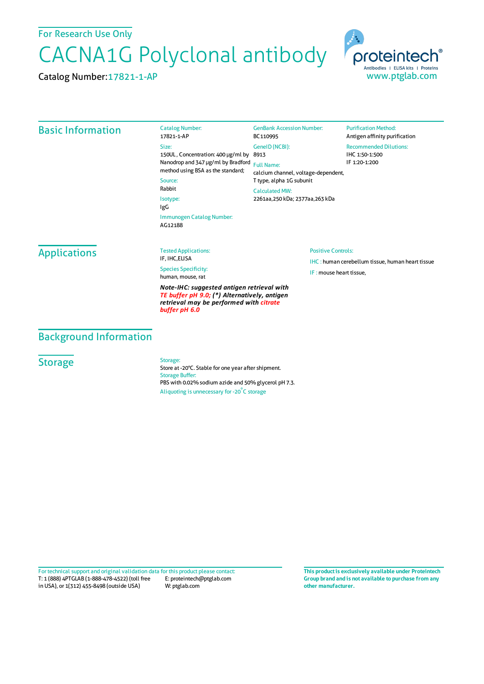For Research Use Only

# CACNA1G Polyclonal antibody

Catalog Number:

Catalog Number:17821-1-AP



### Basic Information

17821-1-AP Size: 150UL , Concentration: 400 μg/ml by 8913 Nanodrop and 347 μg/ml by Bradford Full Name: method using BSA as the standard; Source:

Rabbit

Isotype: IgG Immunogen Catalog Number:

AG12188

GenBank Accession Number: BC110995 GeneID(NCBI):

calcium channel, voltage-dependent, T type, alpha 1G subunit

CalculatedMW: 2261aa,250 kDa; 2377aa,263 kDa

#### **Purification Method:** Antigen affinity purification Recommended Dilutions: IHC 1:50-1:500 IF 1:20-1:200

Applications

#### Tested Applications: IF, IHC,ELISA

Species Specificity: human, mouse, rat

*Note-IHC: suggested antigen retrieval with TE buffer pH 9.0; (\*) Alternatively, antigen retrieval may be performed with citrate buffer pH 6.0*

#### Positive Controls:

IHC : human cerebellum tissue, human heart tissue IF : mouse heart tissue,

Background Information

## **Storage**

Storage:

Store at -20°C. Stable for one year after shipment. Storage Buffer: PBS with 0.02% sodium azide and 50% glycerol pH 7.3. Aliquoting is unnecessary for -20<sup>°</sup>C storage

T: 1 (888) 4PTGLAB (1-888-478-4522) (toll free in USA), or 1(312) 455-8498 (outside USA) E: proteintech@ptglab.com W: ptglab.com Fortechnical support and original validation data forthis product please contact: **This productis exclusively available under Proteintech**

**Group brand and is not available to purchase from any other manufacturer.**